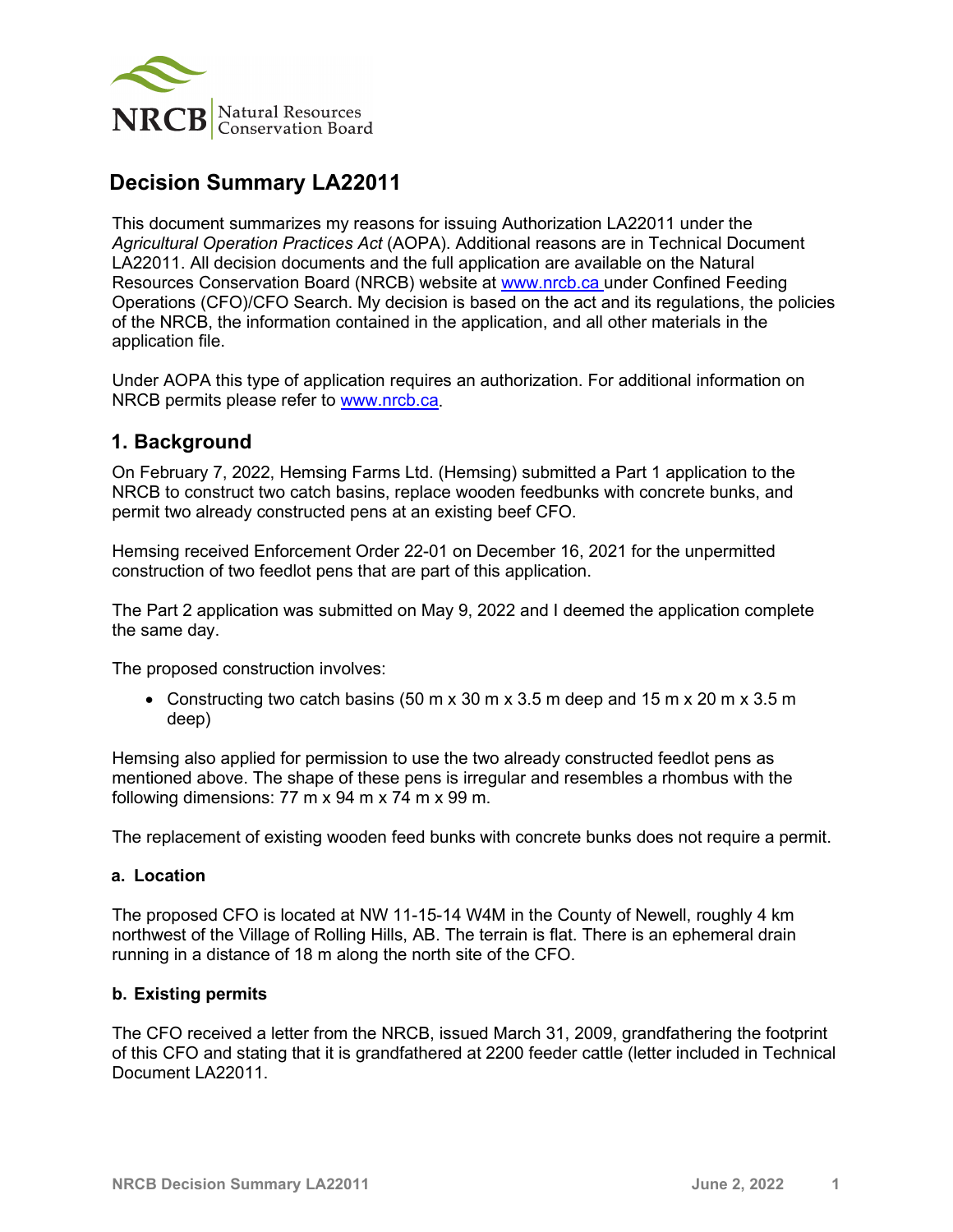

# **Decision Summary LA22011**

This document summarizes my reasons for issuing Authorization LA22011 under the *Agricultural Operation Practices Act* (AOPA). Additional reasons are in Technical Document LA22011. All decision documents and the full application are available on the Natural Resources Conservation Board (NRCB) website at [www.nrcb.ca](http://www.nrcb.ca/) under Confined Feeding Operations (CFO)/CFO Search. My decision is based on the act and its regulations, the policies of the NRCB, the information contained in the application, and all other materials in the application file.

Under AOPA this type of application requires an authorization. For additional information on NRCB permits please refer to [www.nrcb.ca.](file://NRCB-File01/nosync/Application%20Form%20Review/Decision%20Summary%20Template%2027%20April%202020/www.nrcb.ca)

## **1. Background**

On February 7, 2022, Hemsing Farms Ltd. (Hemsing) submitted a Part 1 application to the NRCB to construct two catch basins, replace wooden feedbunks with concrete bunks, and permit two already constructed pens at an existing beef CFO.

Hemsing received Enforcement Order 22-01 on December 16, 2021 for the unpermitted construction of two feedlot pens that are part of this application.

The Part 2 application was submitted on May 9, 2022 and I deemed the application complete the same day.

The proposed construction involves:

• Constructing two catch basins  $(50 \text{ m} \times 30 \text{ m} \times 3.5 \text{ m}$  deep and  $15 \text{ m} \times 20 \text{ m} \times 3.5 \text{ m}$ deep)

Hemsing also applied for permission to use the two already constructed feedlot pens as mentioned above. The shape of these pens is irregular and resembles a rhombus with the following dimensions: 77 m x 94 m x 74 m x 99 m.

The replacement of existing wooden feed bunks with concrete bunks does not require a permit.

#### **a. Location**

The proposed CFO is located at NW 11-15-14 W4M in the County of Newell, roughly 4 km northwest of the Village of Rolling Hills, AB. The terrain is flat. There is an ephemeral drain running in a distance of 18 m along the north site of the CFO.

#### **b. Existing permits**

The CFO received a letter from the NRCB, issued March 31, 2009, grandfathering the footprint of this CFO and stating that it is grandfathered at 2200 feeder cattle (letter included in Technical Document LA22011.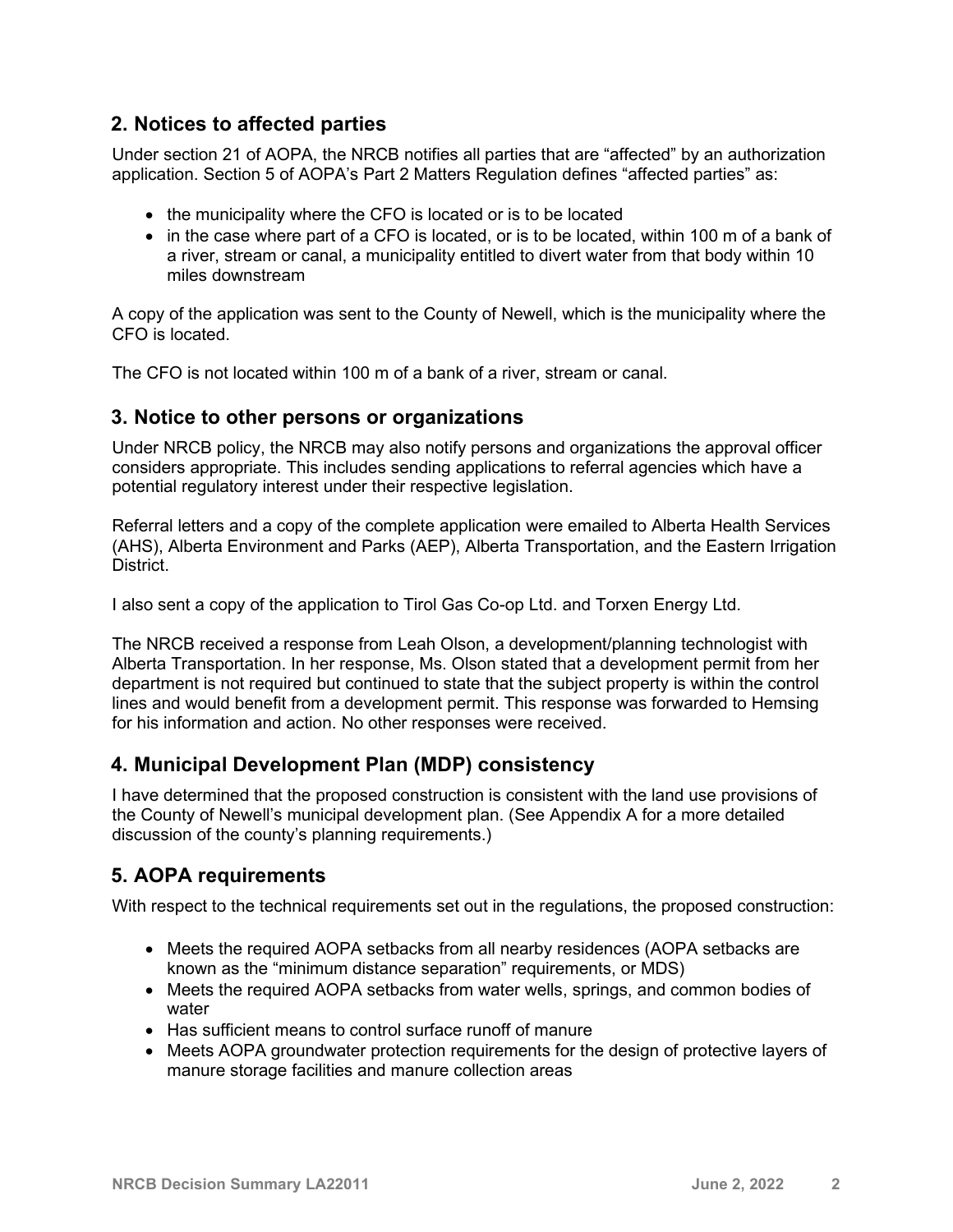### **2. Notices to affected parties**

Under section 21 of AOPA, the NRCB notifies all parties that are "affected" by an authorization application. Section 5 of AOPA's Part 2 Matters Regulation defines "affected parties" as:

- the municipality where the CFO is located or is to be located
- in the case where part of a CFO is located, or is to be located, within 100 m of a bank of a river, stream or canal, a municipality entitled to divert water from that body within 10 miles downstream

A copy of the application was sent to the County of Newell, which is the municipality where the CFO is located.

The CFO is not located within 100 m of a bank of a river, stream or canal.

### **3. Notice to other persons or organizations**

Under NRCB policy, the NRCB may also notify persons and organizations the approval officer considers appropriate. This includes sending applications to referral agencies which have a potential regulatory interest under their respective legislation.

Referral letters and a copy of the complete application were emailed to Alberta Health Services (AHS), Alberta Environment and Parks (AEP), Alberta Transportation, and the Eastern Irrigation District.

I also sent a copy of the application to Tirol Gas Co-op Ltd. and Torxen Energy Ltd.

The NRCB received a response from Leah Olson, a development/planning technologist with Alberta Transportation. In her response, Ms. Olson stated that a development permit from her department is not required but continued to state that the subject property is within the control lines and would benefit from a development permit. This response was forwarded to Hemsing for his information and action. No other responses were received.

### **4. Municipal Development Plan (MDP) consistency**

I have determined that the proposed construction is consistent with the land use provisions of the County of Newell's municipal development plan. (See Appendix A for a more detailed discussion of the county's planning requirements.)

### **5. AOPA requirements**

With respect to the technical requirements set out in the regulations, the proposed construction:

- Meets the required AOPA setbacks from all nearby residences (AOPA setbacks are known as the "minimum distance separation" requirements, or MDS)
- Meets the required AOPA setbacks from water wells, springs, and common bodies of water
- Has sufficient means to control surface runoff of manure
- Meets AOPA groundwater protection requirements for the design of protective layers of manure storage facilities and manure collection areas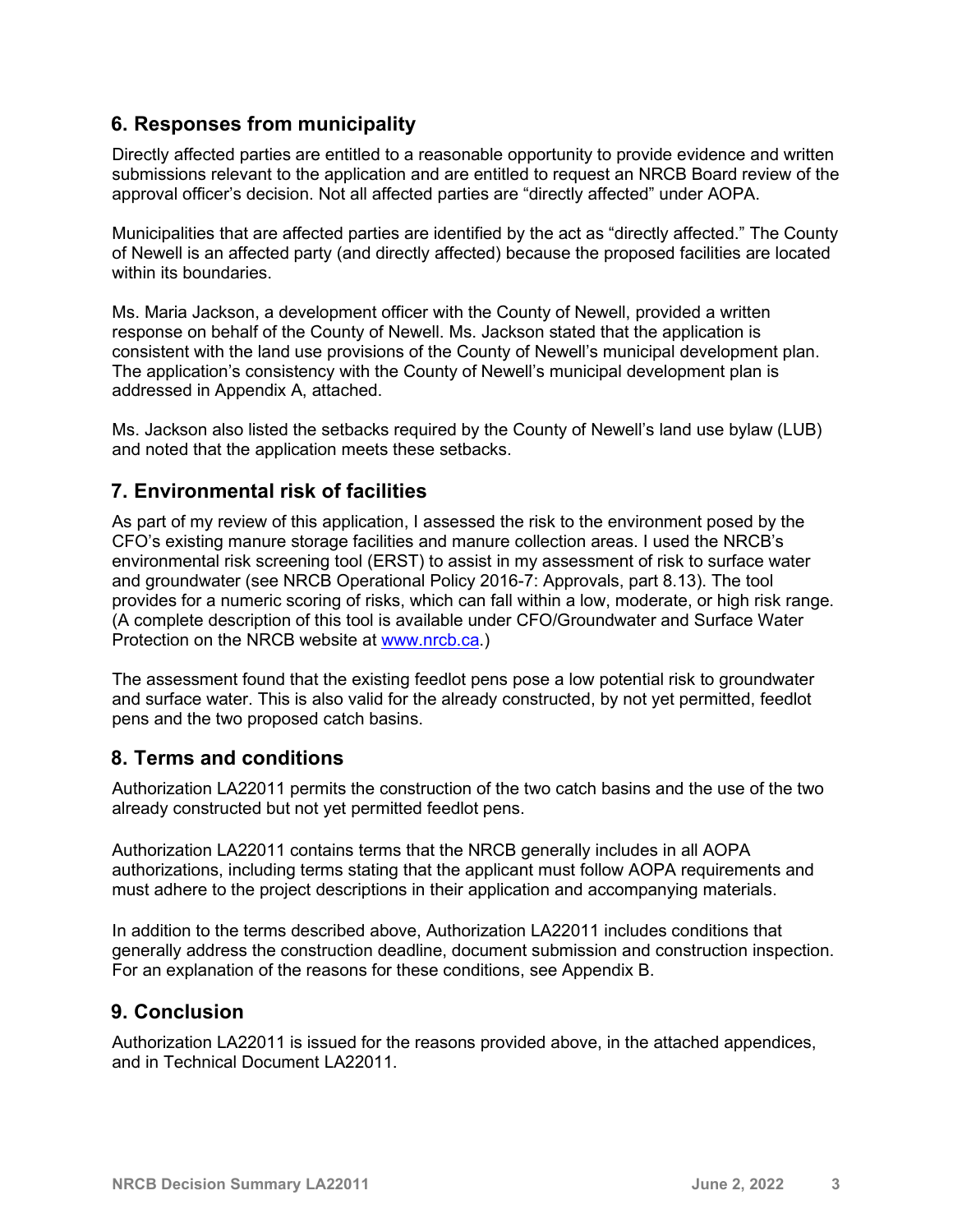## **6. Responses from municipality**

Directly affected parties are entitled to a reasonable opportunity to provide evidence and written submissions relevant to the application and are entitled to request an NRCB Board review of the approval officer's decision. Not all affected parties are "directly affected" under AOPA.

Municipalities that are affected parties are identified by the act as "directly affected." The County of Newell is an affected party (and directly affected) because the proposed facilities are located within its boundaries.

Ms. Maria Jackson, a development officer with the County of Newell, provided a written response on behalf of the County of Newell. Ms. Jackson stated that the application is consistent with the land use provisions of the County of Newell's municipal development plan. The application's consistency with the County of Newell's municipal development plan is addressed in Appendix A, attached.

Ms. Jackson also listed the setbacks required by the County of Newell's land use bylaw (LUB) and noted that the application meets these setbacks.

## **7. Environmental risk of facilities**

As part of my review of this application, I assessed the risk to the environment posed by the CFO's existing manure storage facilities and manure collection areas. I used the NRCB's environmental risk screening tool (ERST) to assist in my assessment of risk to surface water and groundwater (see NRCB Operational Policy 2016-7: Approvals, part 8.13). The tool provides for a numeric scoring of risks, which can fall within a low, moderate, or high risk range. (A complete description of this tool is available under CFO/Groundwater and Surface Water Protection on the NRCB website at [www.nrcb.ca.](http://www.nrcb.ca/))

The assessment found that the existing feedlot pens pose a low potential risk to groundwater and surface water. This is also valid for the already constructed, by not yet permitted, feedlot pens and the two proposed catch basins.

### **8. Terms and conditions**

Authorization LA22011 permits the construction of the two catch basins and the use of the two already constructed but not yet permitted feedlot pens.

Authorization LA22011 contains terms that the NRCB generally includes in all AOPA authorizations, including terms stating that the applicant must follow AOPA requirements and must adhere to the project descriptions in their application and accompanying materials.

In addition to the terms described above, Authorization LA22011 includes conditions that generally address the construction deadline, document submission and construction inspection. For an explanation of the reasons for these conditions, see Appendix B.

### **9. Conclusion**

Authorization LA22011 is issued for the reasons provided above, in the attached appendices, and in Technical Document LA22011.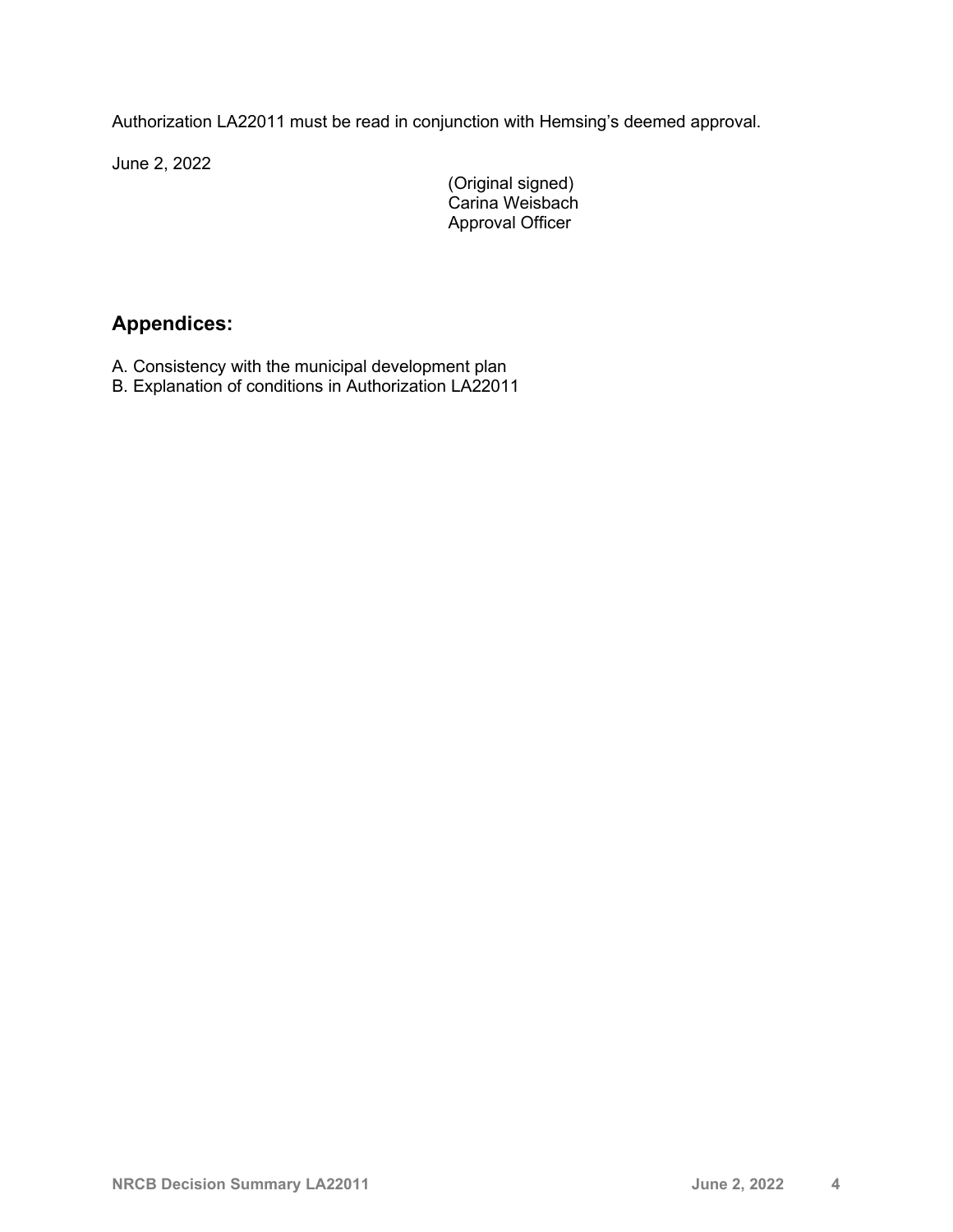Authorization LA22011 must be read in conjunction with Hemsing's deemed approval.

June 2, 2022

(Original signed) Carina Weisbach Approval Officer

# **Appendices:**

- A. Consistency with the municipal development plan
- B. Explanation of conditions in Authorization LA22011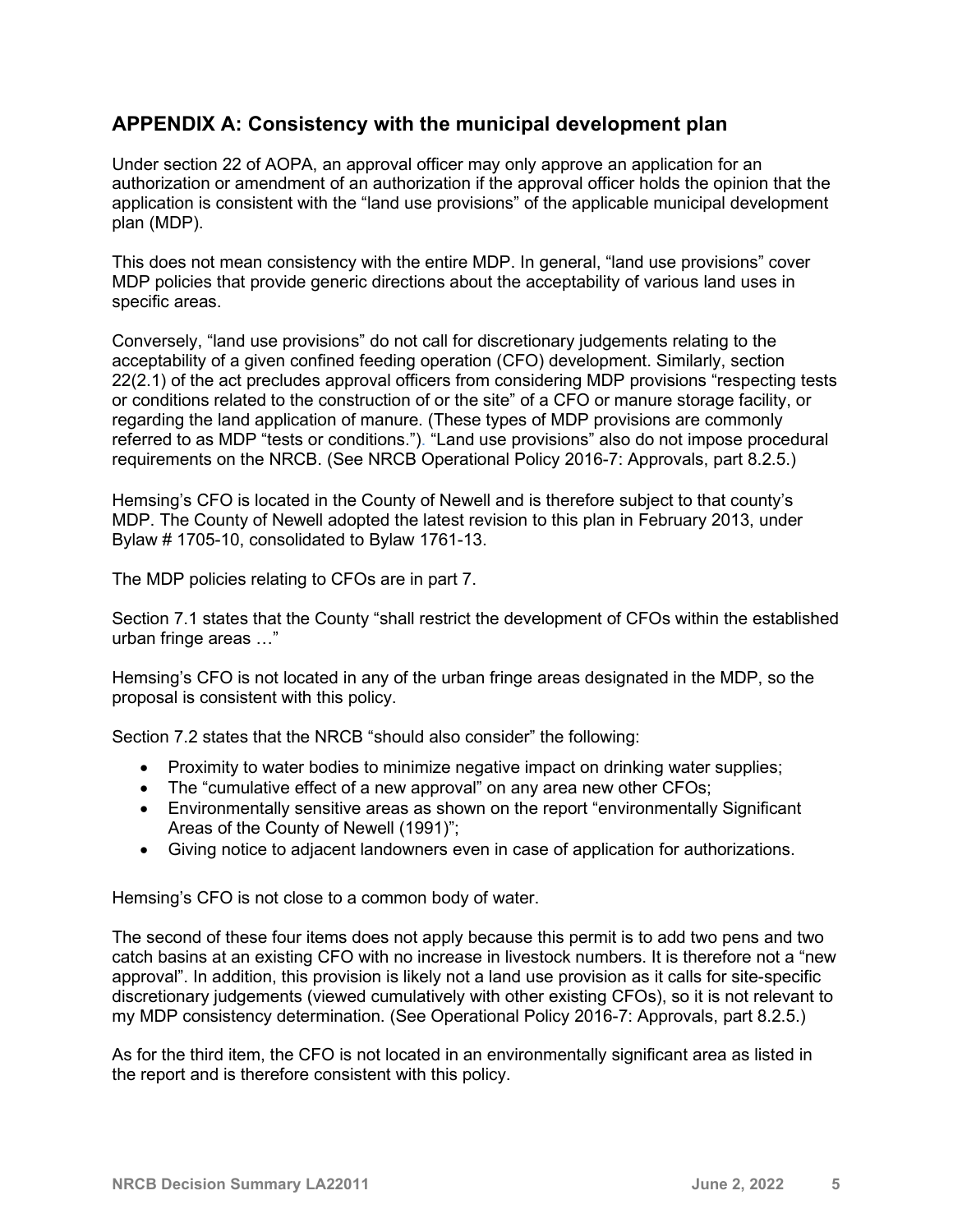## **APPENDIX A: Consistency with the municipal development plan**

Under section 22 of AOPA, an approval officer may only approve an application for an authorization or amendment of an authorization if the approval officer holds the opinion that the application is consistent with the "land use provisions" of the applicable municipal development plan (MDP).

This does not mean consistency with the entire MDP. In general, "land use provisions" cover MDP policies that provide generic directions about the acceptability of various land uses in specific areas.

Conversely, "land use provisions" do not call for discretionary judgements relating to the acceptability of a given confined feeding operation (CFO) development. Similarly, section 22(2.1) of the act precludes approval officers from considering MDP provisions "respecting tests or conditions related to the construction of or the site" of a CFO or manure storage facility, or regarding the land application of manure. (These types of MDP provisions are commonly referred to as MDP "tests or conditions."). "Land use provisions" also do not impose procedural requirements on the NRCB. (See NRCB Operational Policy 2016-7: Approvals, part 8.2.5.)

Hemsing's CFO is located in the County of Newell and is therefore subject to that county's MDP. The County of Newell adopted the latest revision to this plan in February 2013, under Bylaw # 1705-10, consolidated to Bylaw 1761-13.

The MDP policies relating to CFOs are in part 7.

Section 7.1 states that the County "shall restrict the development of CFOs within the established urban fringe areas …"

Hemsing's CFO is not located in any of the urban fringe areas designated in the MDP, so the proposal is consistent with this policy.

Section 7.2 states that the NRCB "should also consider" the following:

- Proximity to water bodies to minimize negative impact on drinking water supplies;
- The "cumulative effect of a new approval" on any area new other CFOs;
- Environmentally sensitive areas as shown on the report "environmentally Significant Areas of the County of Newell (1991)";
- Giving notice to adjacent landowners even in case of application for authorizations.

Hemsing's CFO is not close to a common body of water.

The second of these four items does not apply because this permit is to add two pens and two catch basins at an existing CFO with no increase in livestock numbers. It is therefore not a "new approval". In addition, this provision is likely not a land use provision as it calls for site-specific discretionary judgements (viewed cumulatively with other existing CFOs), so it is not relevant to my MDP consistency determination. (See Operational Policy 2016-7: Approvals, part 8.2.5.)

As for the third item, the CFO is not located in an environmentally significant area as listed in the report and is therefore consistent with this policy.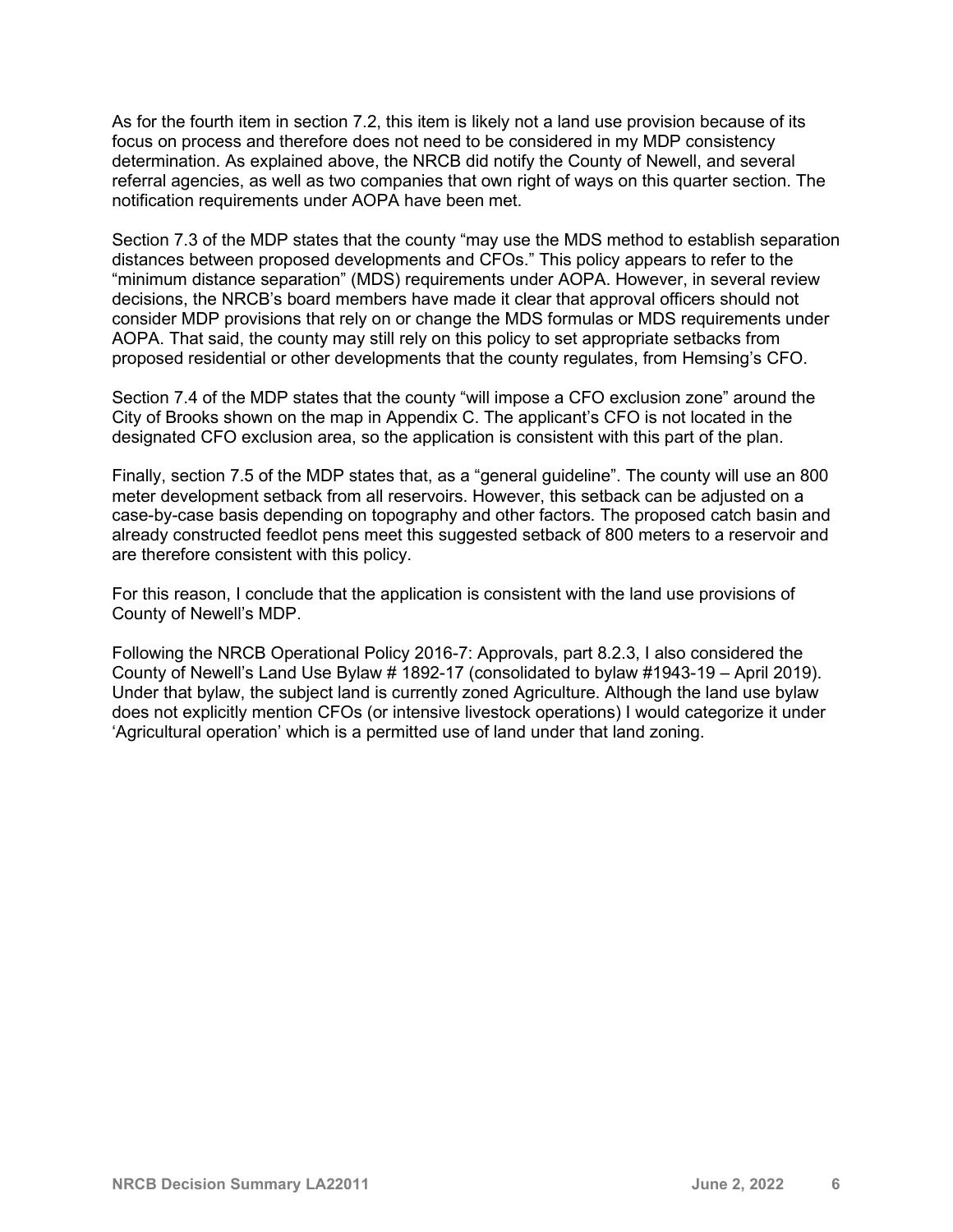As for the fourth item in section 7.2, this item is likely not a land use provision because of its focus on process and therefore does not need to be considered in my MDP consistency determination. As explained above, the NRCB did notify the County of Newell, and several referral agencies, as well as two companies that own right of ways on this quarter section. The notification requirements under AOPA have been met.

Section 7.3 of the MDP states that the county "may use the MDS method to establish separation distances between proposed developments and CFOs." This policy appears to refer to the "minimum distance separation" (MDS) requirements under AOPA. However, in several review decisions, the NRCB's board members have made it clear that approval officers should not consider MDP provisions that rely on or change the MDS formulas or MDS requirements under AOPA. That said, the county may still rely on this policy to set appropriate setbacks from proposed residential or other developments that the county regulates, from Hemsing's CFO.

Section 7.4 of the MDP states that the county "will impose a CFO exclusion zone" around the City of Brooks shown on the map in Appendix C. The applicant's CFO is not located in the designated CFO exclusion area, so the application is consistent with this part of the plan.

Finally, section 7.5 of the MDP states that, as a "general guideline". The county will use an 800 meter development setback from all reservoirs. However, this setback can be adjusted on a case-by-case basis depending on topography and other factors. The proposed catch basin and already constructed feedlot pens meet this suggested setback of 800 meters to a reservoir and are therefore consistent with this policy.

For this reason, I conclude that the application is consistent with the land use provisions of County of Newell's MDP.

Following the NRCB Operational Policy 2016-7: Approvals, part 8.2.3, I also considered the County of Newell's Land Use Bylaw # 1892-17 (consolidated to bylaw #1943-19 – April 2019). Under that bylaw, the subject land is currently zoned Agriculture. Although the land use bylaw does not explicitly mention CFOs (or intensive livestock operations) I would categorize it under 'Agricultural operation' which is a permitted use of land under that land zoning.